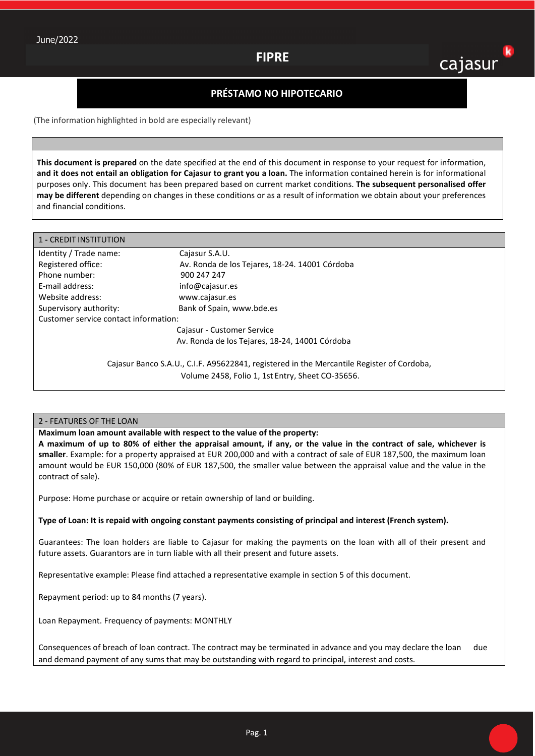# **FIPRE**

# k cajasur

## **PRÉSTAMO NO HIPOTECARIO**

(The information highlighted in bold are especially relevant)

**This document is prepared** on the date specified at the end of this document in response to your request for information, **and it does not entail an obligation for Cajasur to grant you a loan.** The information contained herein is for informational purposes only. This document has been prepared based on current market conditions. **The subsequent personalised offer may be different** depending on changes in these conditions or as a result of information we obtain about your preferences and financial conditions.

| 1 - CREDIT INSTITUTION                                                                    |                                                |  |
|-------------------------------------------------------------------------------------------|------------------------------------------------|--|
| Identity / Trade name:                                                                    | Cajasur S.A.U.                                 |  |
| Registered office:                                                                        | Av. Ronda de los Tejares, 18-24. 14001 Córdoba |  |
| Phone number:                                                                             | 900 247 247                                    |  |
| E-mail address:                                                                           | info@cajasur.es                                |  |
| Website address:                                                                          | www.cajasur.es                                 |  |
| Supervisory authority:                                                                    | Bank of Spain, www.bde.es                      |  |
| Customer service contact information:                                                     |                                                |  |
|                                                                                           | Cajasur - Customer Service                     |  |
|                                                                                           | Av. Ronda de los Tejares, 18-24, 14001 Córdoba |  |
| Cajasur Banco S.A.U., C.I.F. A95622841, registered in the Mercantile Register of Cordoba, |                                                |  |
| Volume 2458, Folio 1, 1st Entry, Sheet CO-35656.                                          |                                                |  |

### 2 - FEATURES OF THE LOAN

**Maximum loan amount available with respect to the value of the property:** 

**A maximum of up to 80% of either the appraisal amount, if any, or the value in the contract of sale, whichever is smaller**. Example: for a property appraised at EUR 200,000 and with a contract of sale of EUR 187,500, the maximum loan amount would be EUR 150,000 (80% of EUR 187,500, the smaller value between the appraisal value and the value in the contract of sale).

Purpose: Home purchase or acquire or retain ownership of land or building.

**Type of Loan: It is repaid with ongoing constant payments consisting of principal and interest (French system).** 

Guarantees: The loan holders are liable to Cajasur for making the payments on the loan with all of their present and future assets. Guarantors are in turn liable with all their present and future assets.

Representative example: Please find attached a representative example in section 5 of this document.

Repayment period: up to 84 months (7 years).

Loan Repayment. Frequency of payments: MONTHLY

Consequences of breach of loan contract. The contract may be terminated in advance and you may declare the loan due and demand payment of any sums that may be outstanding with regard to principal, interest and costs.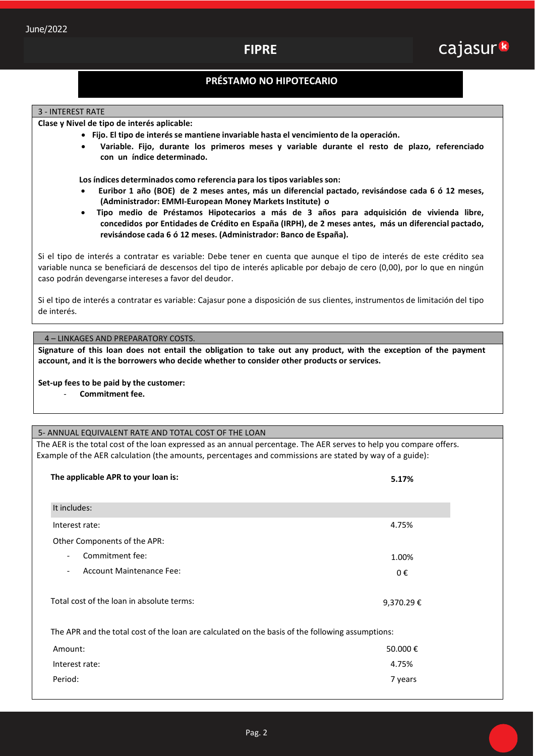# **FIPRE**

## **PRÉSTAMO NO HIPOTECARIO**

### 3 - INTEREST RATE

**Clase y Nivel de tipo de interés aplicable:**

- **Fijo. El tipo de interés se mantiene invariable hasta el vencimiento de la operación.**
	- **Variable. Fijo, durante los primeros meses y variable durante el resto de plazo, referenciado con un índice determinado.**

 **Los índices determinados como referencia para los tipos variables son:**

- **Euribor 1 año (BOE) de 2 meses antes, más un diferencial pactado, revisándose cada 6 ó 12 meses, (Administrador: EMMI-European Money Markets Institute) o**
- **Tipo medio de Préstamos Hipotecarios a más de 3 años para adquisición de vivienda libre, concedidos por Entidades de Crédito en España (IRPH), de 2 meses antes, más un diferencial pactado, revisándose cada 6 ó 12 meses. (Administrador: Banco de España).**

Si el tipo de interés a contratar es variable: Debe tener en cuenta que aunque el tipo de interés de este crédito sea variable nunca se beneficiará de descensos del tipo de interés aplicable por debajo de cero (0,00), por lo que en ningún caso podrán devengarse intereses a favor del deudor.

Si el tipo de interés a contratar es variable: Cajasur pone a disposición de sus clientes, instrumentos de limitación del tipo de interés.

## 4 – LINKAGES AND PREPARATORY COSTS.

**Signature of this loan does not entail the obligation to take out any product, with the exception of the payment account, and it is the borrowers who decide whether to consider other products or services.** 

### **Set-up fees to be paid by the customer:**

- **Commitment fee.** 

#### 5- ANNUAL EQUIVALENT RATE AND TOTAL COST OF THE LOAN

The AER is the total cost of the loan expressed as an annual percentage. The AER serves to help you compare offers. Example of the AER calculation (the amounts, percentages and commissions are stated by way of a guide):

| The applicable APR to your loan is:                                                              | 5.17%     |  |
|--------------------------------------------------------------------------------------------------|-----------|--|
| It includes:                                                                                     |           |  |
| Interest rate:                                                                                   | 4.75%     |  |
| Other Components of the APR:                                                                     |           |  |
| Commitment fee:<br>$\overline{\phantom{a}}$                                                      | 1.00%     |  |
| <b>Account Maintenance Fee:</b><br>$\overline{\phantom{a}}$                                      | 0€        |  |
| Total cost of the loan in absolute terms:                                                        | 9,370.29€ |  |
| The APR and the total cost of the loan are calculated on the basis of the following assumptions: |           |  |
| Amount:                                                                                          | 50.000€   |  |
| Interest rate:                                                                                   | 4.75%     |  |
| Period:                                                                                          | 7 years   |  |
|                                                                                                  |           |  |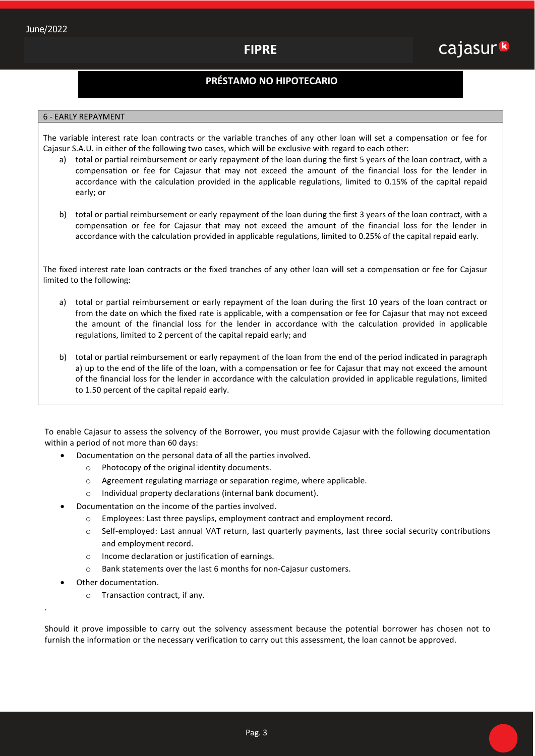## **PRÉSTAMO NO HIPOTECARIO**

## 6 - EARLY REPAYMENT

The variable interest rate loan contracts or the variable tranches of any other loan will set a compensation or fee for Cajasur S.A.U. in either of the following two cases, which will be exclusive with regard to each other:

- a) total or partial reimbursement or early repayment of the loan during the first 5 years of the loan contract, with a compensation or fee for Cajasur that may not exceed the amount of the financial loss for the lender in accordance with the calculation provided in the applicable regulations, limited to 0.15% of the capital repaid early; or
- b) total or partial reimbursement or early repayment of the loan during the first 3 years of the loan contract, with a compensation or fee for Cajasur that may not exceed the amount of the financial loss for the lender in accordance with the calculation provided in applicable regulations, limited to 0.25% of the capital repaid early.

The fixed interest rate loan contracts or the fixed tranches of any other loan will set a compensation or fee for Cajasur limited to the following:

- a) total or partial reimbursement or early repayment of the loan during the first 10 years of the loan contract or from the date on which the fixed rate is applicable, with a compensation or fee for Cajasur that may not exceed the amount of the financial loss for the lender in accordance with the calculation provided in applicable regulations, limited to 2 percent of the capital repaid early; and
- b) total or partial reimbursement or early repayment of the loan from the end of the period indicated in paragraph a) up to the end of the life of the loan, with a compensation or fee for Cajasur that may not exceed the amount of the financial loss for the lender in accordance with the calculation provided in applicable regulations, limited to 1.50 percent of the capital repaid early.

To enable Cajasur to assess the solvency of the Borrower, you must provide Cajasur with the following documentation within a period of not more than 60 days:

- Documentation on the personal data of all the parties involved.
	- o Photocopy of the original identity documents.
	- o Agreement regulating marriage or separation regime, where applicable.
	- o Individual property declarations (internal bank document).
- Documentation on the income of the parties involved.
	- o Employees: Last three payslips, employment contract and employment record.
	- o Self-employed: Last annual VAT return, last quarterly payments, last three social security contributions and employment record.
	- o Income declaration or justification of earnings.
	- o Bank statements over the last 6 months for non-Cajasur customers.
- Other documentation.

.

o Transaction contract, if any.

Should it prove impossible to carry out the solvency assessment because the potential borrower has chosen not to furnish the information or the necessary verification to carry out this assessment, the loan cannot be approved.